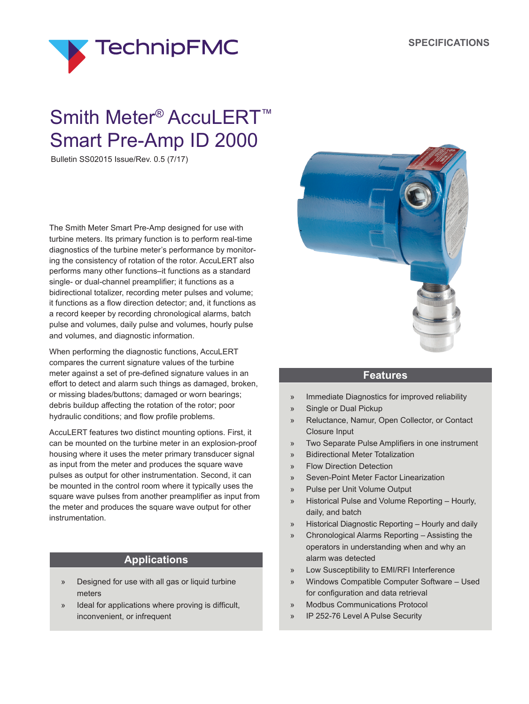

# Smith Meter<sup>®</sup> AccuLERT<sup>™</sup> Smart Pre-Amp ID 2000

Bulletin SS02015 Issue/Rev. 0.5 (7/17)

The Smith Meter Smart Pre-Amp designed for use with turbine meters. Its primary function is to perform real-time diagnostics of the turbine meter's performance by monitoring the consistency of rotation of the rotor. AccuLERT also performs many other functions–it functions as a standard single- or dual-channel preamplifier; it functions as a bidirectional totalizer, recording meter pulses and volume; it functions as a flow direction detector; and, it functions as a record keeper by recording chronological alarms, batch pulse and volumes, daily pulse and volumes, hourly pulse and volumes, and diagnostic information.

When performing the diagnostic functions, AccuLERT compares the current signature values of the turbine meter against a set of pre-defined signature values in an effort to detect and alarm such things as damaged, broken, or missing blades/buttons; damaged or worn bearings; debris buildup affecting the rotation of the rotor; poor hydraulic conditions; and flow profile problems.

AccuLERT features two distinct mounting options. First, it can be mounted on the turbine meter in an explosion-proof housing where it uses the meter primary transducer signal as input from the meter and produces the square wave pulses as output for other instrumentation. Second, it can be mounted in the control room where it typically uses the square wave pulses from another preamplifier as input from the meter and produces the square wave output for other instrumentation.

#### **Applications**

- » Designed for use with all gas or liquid turbine meters
- Ideal for applications where proving is difficult, inconvenient, or infrequent



#### **Features**

- » Immediate Diagnostics for improved reliability
- » Single or Dual Pickup
- » Reluctance, Namur, Open Collector, or Contact Closure Input
- » Two Separate Pulse Amplifiers in one instrument
- » Bidirectional Meter Totalization
- » Flow Direction Detection
- » Seven-Point Meter Factor Linearization
- » Pulse per Unit Volume Output
- » Historical Pulse and Volume Reporting Hourly, daily, and batch
- » Historical Diagnostic Reporting Hourly and daily
- » Chronological Alarms Reporting Assisting the operators in understanding when and why an alarm was detected
- » Low Susceptibility to EMI/RFI Interference
- » Windows Compatible Computer Software Used for configuration and data retrieval
- » Modbus Communications Protocol
- » IP 252-76 Level A Pulse Security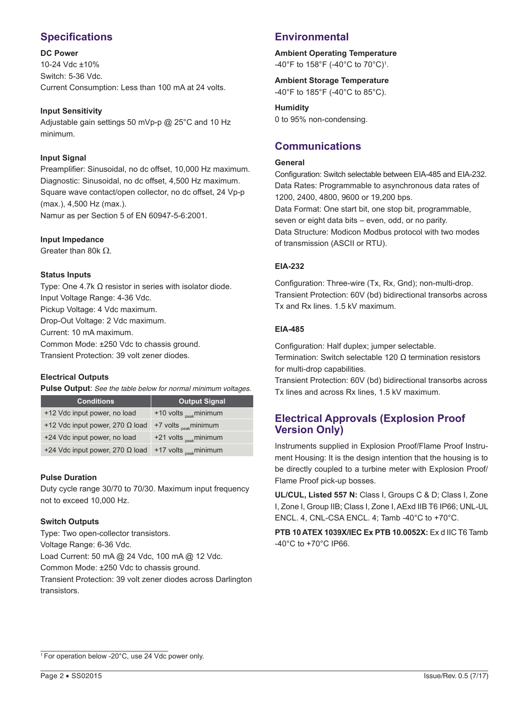## **Specifications**

#### **DC Power**

10-24 Vdc ±10% Switch: 5-36 Vdc. Current Consumption: Less than 100 mA at 24 volts.

#### **Input Sensitivity**

Adjustable gain settings 50 mVp-p @ 25°C and 10 Hz minimum.

#### **Input Signal**

Preamplifier: Sinusoidal, no dc offset, 10,000 Hz maximum. Diagnostic: Sinusoidal, no dc offset, 4,500 Hz maximum. Square wave contact/open collector, no dc offset, 24 Vp-p (max.), 4,500 Hz (max.). Namur as per Section 5 of EN 60947-5-6:2001.

#### **Input Impedance**

Greater than 80k Ω.

#### **Status Inputs**

Type: One 4.7k Ω resistor in series with isolator diode. Input Voltage Range: 4-36 Vdc. Pickup Voltage: 4 Vdc maximum. Drop-Out Voltage: 2 Vdc maximum. Current: 10 mA maximum. Common Mode: ±250 Vdc to chassis ground. Transient Protection: 39 volt zener diodes.

#### **Electrical Outputs**

**Pulse Output**: *See the table below for normal minimum voltages.*

| <b>Conditions</b>                      | <b>Output Signal</b>              |
|----------------------------------------|-----------------------------------|
| +12 Vdc input power, no load           | +10 volts <sub>peak</sub> minimum |
| +12 Vdc input power, 270 $\Omega$ load | +7 volts $_{\text{peak}}$ minimum |
| +24 Vdc input power, no load           | +21 volts <sub>peak</sub> minimum |
| +24 Vdc input power, 270 $\Omega$ load | +17 volts <sub>peak</sub> minimum |

#### **Pulse Duration**

Duty cycle range 30/70 to 70/30. Maximum input frequency not to exceed 10,000 Hz.

#### **Switch Outputs**

Type: Two open-collector transistors. Voltage Range: 6-36 Vdc. Load Current: 50 mA @ 24 Vdc, 100 mA @ 12 Vdc. Common Mode: ±250 Vdc to chassis ground.

Transient Protection: 39 volt zener diodes across Darlington transistors.

## **Environmental**

**Ambient Operating Temperature** -40°F to 158°F (-40°C to 70°C)1 .

**Ambient Storage Temperature**

-40°F to 185°F (-40°C to 85°C).

**Humidity** 0 to 95% non-condensing.

## **Communications**

#### **General**

Configuration: Switch selectable between EIA-485 and EIA-232. Data Rates: Programmable to asynchronous data rates of 1200, 2400, 4800, 9600 or 19,200 bps. Data Format: One start bit, one stop bit, programmable, seven or eight data bits – even, odd, or no parity. Data Structure: Modicon Modbus protocol with two modes of transmission (ASCII or RTU).

#### **EIA-232**

Configuration: Three-wire (Tx, Rx, Gnd); non-multi-drop. Transient Protection: 60V (bd) bidirectional transorbs across Tx and Rx lines. 1.5 kV maximum.

#### **EIA-485**

Configuration: Half duplex; jumper selectable. Termination: Switch selectable 120 Ω termination resistors for multi-drop capabilities.

Transient Protection: 60V (bd) bidirectional transorbs across Tx lines and across Rx lines, 1.5 kV maximum.

## **Electrical Approvals (Explosion Proof Version Only)**

Instruments supplied in Explosion Proof/Flame Proof Instrument Housing: It is the design intention that the housing is to be directly coupled to a turbine meter with Explosion Proof/ Flame Proof pick-up bosses.

**UL/CUL, Listed 557 N:** Class I, Groups C & D; Class I, Zone I, Zone I, Group IIB; Class I, Zone I, AExd IIB T6 IP66; UNL-UL ENCL. 4, CNL-CSA ENCL. 4; Tamb -40°C to +70°C.

**PTB 10 ATEX 1039X/IEC Ex PTB 10.0052X:** Ex d IIC T6 Tamb -40°C to +70°C IP66.

<sup>&</sup>lt;sup>1</sup> For operation below -20°C, use 24 Vdc power only.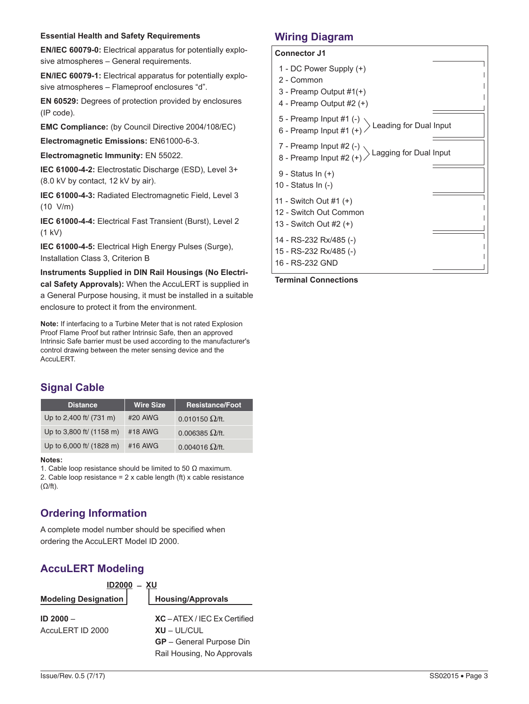#### **Essential Health and Safety Requirements**

**EN/IEC 60079-0:** Electrical apparatus for potentially explosive atmospheres – General requirements.

**EN/IEC 60079-1:** Electrical apparatus for potentially explosive atmospheres – Flameproof enclosures "d".

**EN 60529:** Degrees of protection provided by enclosures (IP code).

**EMC Compliance:** (by Council Directive 2004/108/EC)

**Electromagnetic Emissions:** EN61000-6-3.

**Electromagnetic Immunity:** EN 55022.

**IEC 61000-4-2:** Electrostatic Discharge (ESD), Level 3+ (8.0 kV by contact, 12 kV by air).

**IEC 61000-4-3:** Radiated Electromagnetic Field, Level 3 (10 V/m)

**IEC 61000-4-4:** Electrical Fast Transient (Burst), Level 2 (1 kV)

**IEC 61000-4-5:** Electrical High Energy Pulses (Surge), Installation Class 3, Criterion B

**Instruments Supplied in DIN Rail Housings (No Electrical Safety Approvals):** When the AccuLERT is supplied in a General Purpose housing, it must be installed in a suitable enclosure to protect it from the environment.

**Note:** If interfacing to a Turbine Meter that is not rated Explosion Proof Flame Proof but rather Intrinsic Safe, then an approved Intrinsic Safe barrier must be used according to the manufacturer's control drawing between the meter sensing device and the AccuLERT.

## **Signal Cable**

| <b>Distance</b>          | <b>Wire Size</b> | <b>Resistance/Foot</b>   |
|--------------------------|------------------|--------------------------|
| Up to 2,400 ft/ (731 m)  | #20 AWG          | 0.010150 $\Omega$ /ft.   |
| Up to 3,800 ft/ (1158 m) | #18 AWG          | 0.006385 $\Omega$ /ft.   |
| Up to 6,000 ft/ (1828 m) | #16 AWG          | $0.004016$ $\Omega$ /ft. |

#### **Notes:**

1. Cable loop resistance should be limited to 50 Ω maximum. 2. Cable loop resistance =  $2 \times$  cable length (ft)  $\times$  cable resistance (Ω/ft).

## **Ordering Information**

A complete model number should be specified when ordering the AccuLERT Model ID 2000.

## **AccuLERT Modeling**

**ID2000 ̶ XU**

| <b>Modeling Designation</b> | <b>Housing/Approvals</b>        |
|-----------------------------|---------------------------------|
| $ID 2000 -$                 | $XC - ATEX / IEC Ex Centified$  |
| AccuLERT ID 2000            | $XU - UL/CUL$                   |
|                             | <b>GP</b> – General Purpose Din |
|                             | Rail Housing, No Approvals      |

### **Wiring Diagram**

#### **Connector J1**

- 1 DC Power Supply (+)
- 2 Common
- 3 Preamp Output #1(+)
- 4 Preamp Output #2 (+)
- 5 Preamp Input #1 (-)
- 6 Preamp Input #1  $\langle \cdot \rangle$  Leading for Dual Input
- 7 Preamp Input #2 (-) 8 - Preamp Input #2 (+) Lagging for Dual Input
- 9 Status In (+)
- 10 Status In (-)
- 11 Switch Out #1 (+)
- 12 Switch Out Common
- 13 Switch Out #2 (+)
- 14 RS-232 Rx/485 (-)
- 15 RS-232 Rx/485 (-)
- 16 RS-232 GND

**Terminal Connections**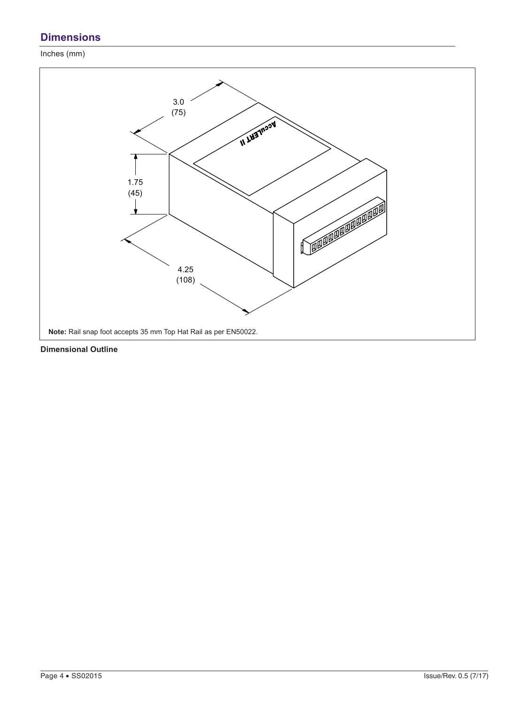## **Dimensions**

Inches (mm)



**Dimensional Outline**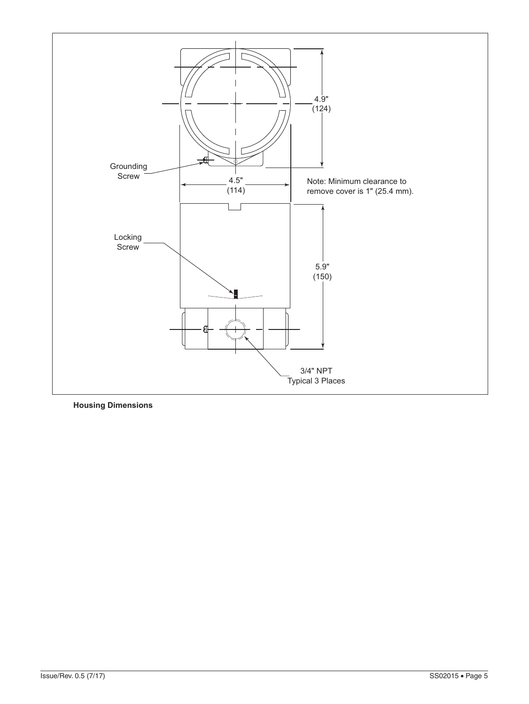

**Housing Dimensions**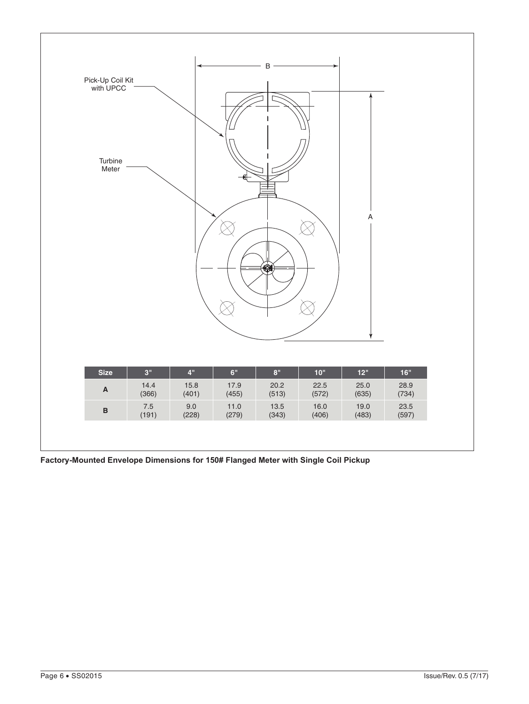

**Factory-Mounted Envelope Dimensions for 150# Flanged Meter with Single Coil Pickup**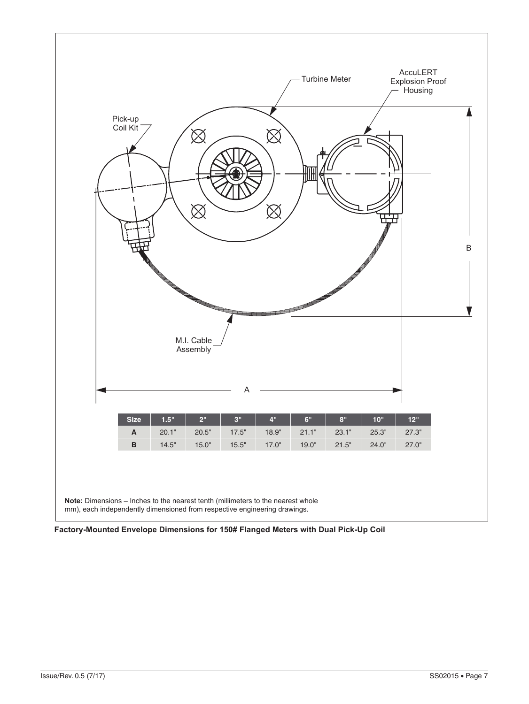

**Factory-Mounted Envelope Dimensions for 150# Flanged Meters with Dual Pick-Up Coil**